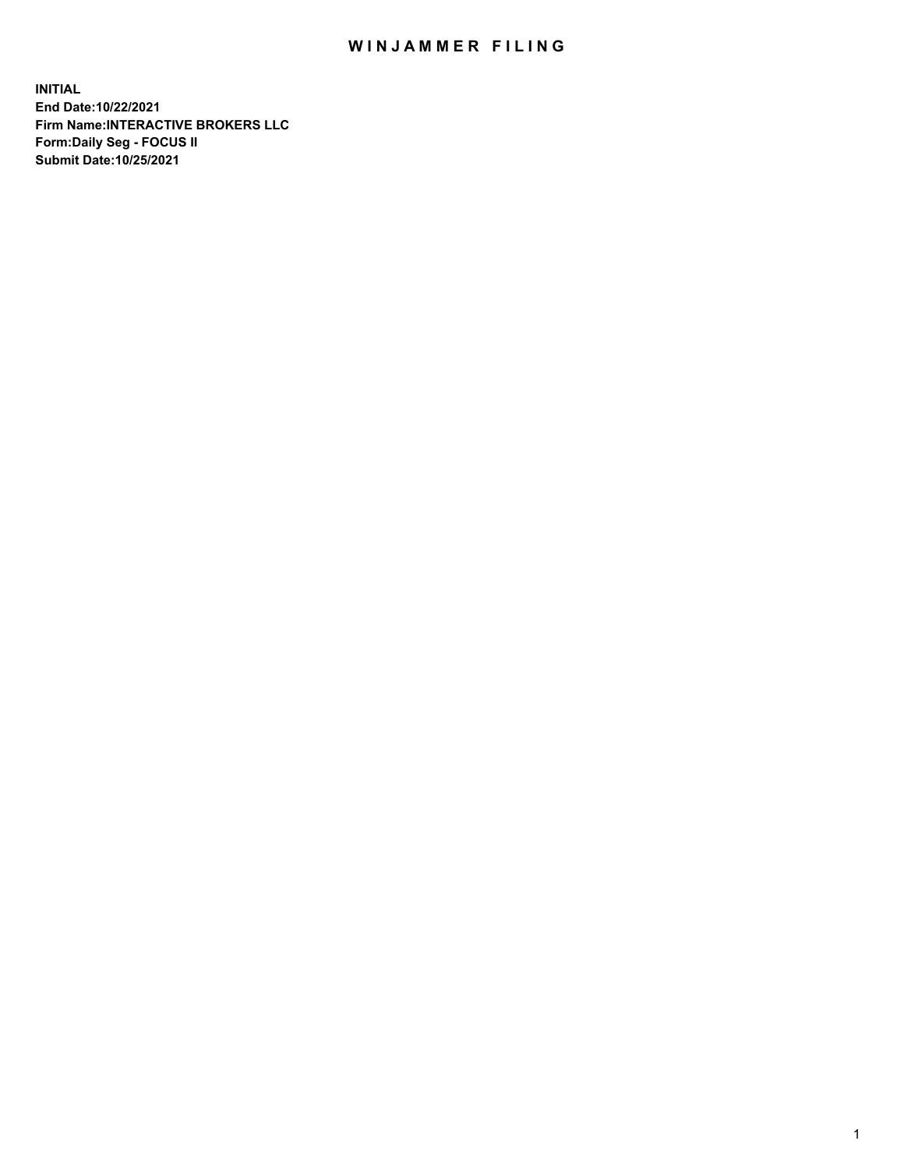## WIN JAMMER FILING

**INITIAL End Date:10/22/2021 Firm Name:INTERACTIVE BROKERS LLC Form:Daily Seg - FOCUS II Submit Date:10/25/2021**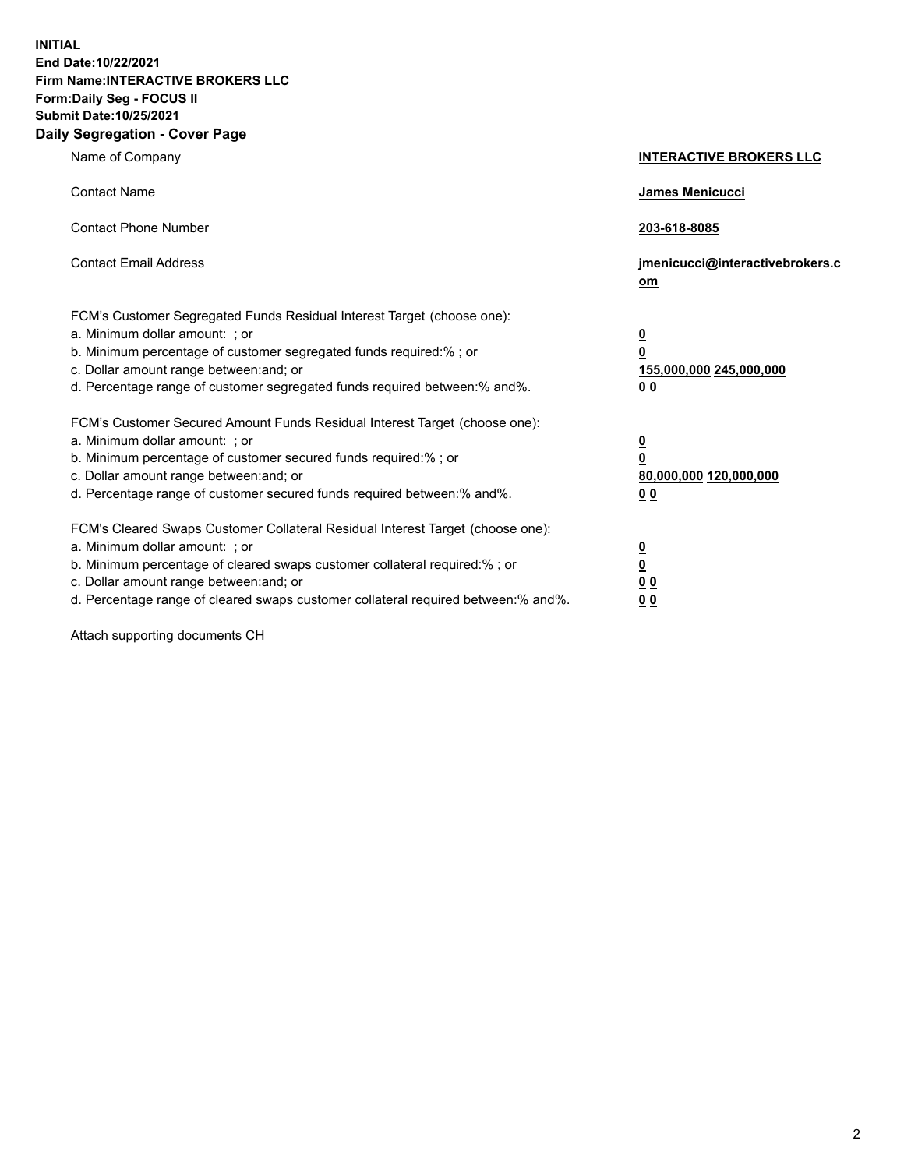**INITIAL End Date:10/22/2021 Firm Name:INTERACTIVE BROKERS LLC Form:Daily Seg - FOCUS II Submit Date:10/25/2021 Daily Segregation - Cover Page**

| Name of Company                                                                                                                                                                                                                                                                                                                | <b>INTERACTIVE BROKERS LLC</b>                                                                           |
|--------------------------------------------------------------------------------------------------------------------------------------------------------------------------------------------------------------------------------------------------------------------------------------------------------------------------------|----------------------------------------------------------------------------------------------------------|
| <b>Contact Name</b>                                                                                                                                                                                                                                                                                                            | James Menicucci                                                                                          |
| <b>Contact Phone Number</b>                                                                                                                                                                                                                                                                                                    | 203-618-8085                                                                                             |
| <b>Contact Email Address</b>                                                                                                                                                                                                                                                                                                   | jmenicucci@interactivebrokers.c<br>om                                                                    |
| FCM's Customer Segregated Funds Residual Interest Target (choose one):<br>a. Minimum dollar amount: ; or<br>b. Minimum percentage of customer segregated funds required:%; or<br>c. Dollar amount range between: and; or<br>d. Percentage range of customer segregated funds required between:% and%.                          | <u>0</u><br>$\overline{\mathbf{0}}$<br>155,000,000 245,000,000<br>0 <sub>0</sub>                         |
| FCM's Customer Secured Amount Funds Residual Interest Target (choose one):<br>a. Minimum dollar amount: ; or<br>b. Minimum percentage of customer secured funds required:%; or<br>c. Dollar amount range between: and; or<br>d. Percentage range of customer secured funds required between:% and%.                            | <u>0</u><br>$\overline{\mathbf{0}}$<br>80,000,000 120,000,000<br><u>00</u>                               |
| FCM's Cleared Swaps Customer Collateral Residual Interest Target (choose one):<br>a. Minimum dollar amount: ; or<br>b. Minimum percentage of cleared swaps customer collateral required:% ; or<br>c. Dollar amount range between: and; or<br>d. Percentage range of cleared swaps customer collateral required between:% and%. | $\overline{\mathbf{0}}$<br>$\underline{\mathbf{0}}$<br>$\underline{0}$ $\underline{0}$<br>0 <sub>0</sub> |

Attach supporting documents CH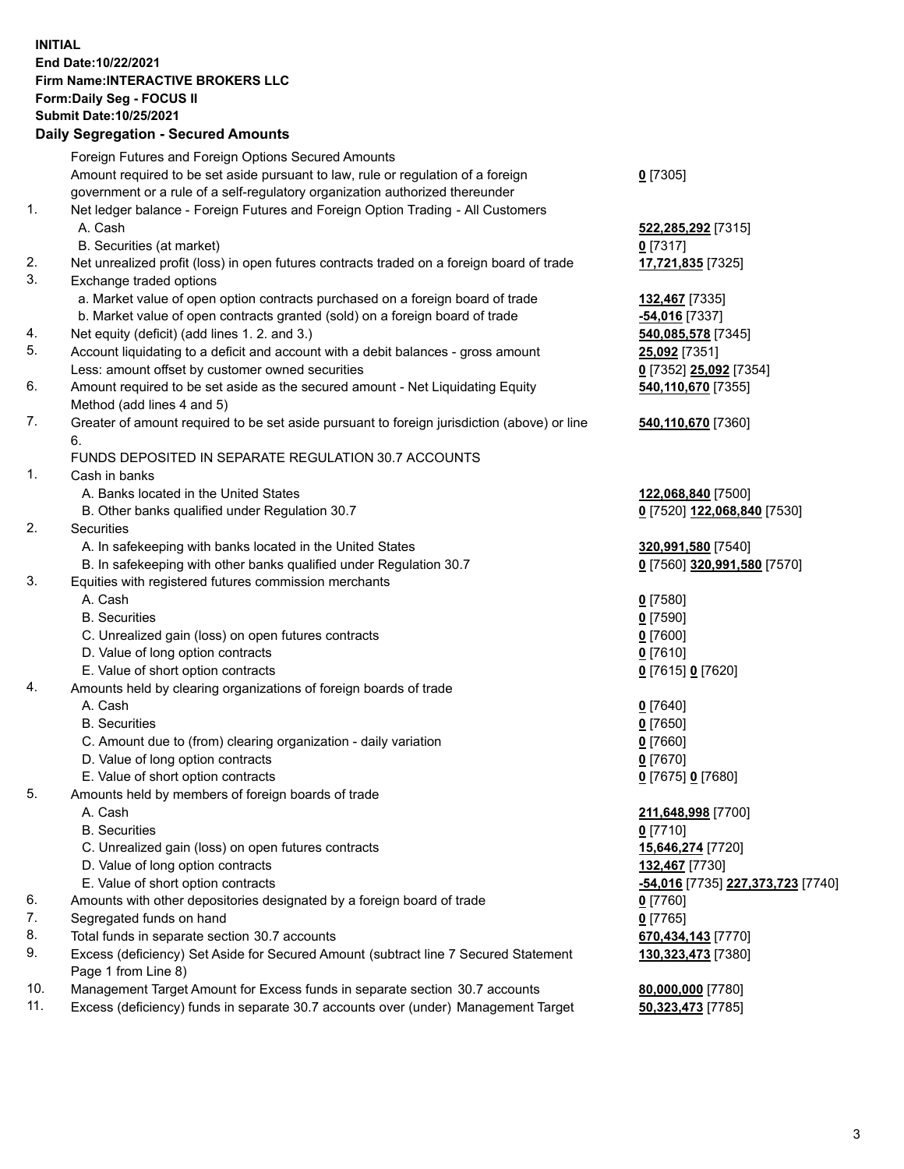## **INITIAL End Date:10/22/2021 Firm Name:INTERACTIVE BROKERS LLC Form:Daily Seg - FOCUS II Submit Date:10/25/2021 Daily Segregation - Secured Amounts**

| Foreign Futures and Foreign Options Secured Amounts                                       |                                                                                                                                                                                                                                                                                                                                                                                                                                                                                                                                                                                                                                                                                                                                                                                                                                                                                                                                                                                                                                                                                                                                                                                                                                                                                                                                                                                                                                                                                                                                                                                                                                                                                                                                                                        |
|-------------------------------------------------------------------------------------------|------------------------------------------------------------------------------------------------------------------------------------------------------------------------------------------------------------------------------------------------------------------------------------------------------------------------------------------------------------------------------------------------------------------------------------------------------------------------------------------------------------------------------------------------------------------------------------------------------------------------------------------------------------------------------------------------------------------------------------------------------------------------------------------------------------------------------------------------------------------------------------------------------------------------------------------------------------------------------------------------------------------------------------------------------------------------------------------------------------------------------------------------------------------------------------------------------------------------------------------------------------------------------------------------------------------------------------------------------------------------------------------------------------------------------------------------------------------------------------------------------------------------------------------------------------------------------------------------------------------------------------------------------------------------------------------------------------------------------------------------------------------------|
| Amount required to be set aside pursuant to law, rule or regulation of a foreign          | $0$ [7305]                                                                                                                                                                                                                                                                                                                                                                                                                                                                                                                                                                                                                                                                                                                                                                                                                                                                                                                                                                                                                                                                                                                                                                                                                                                                                                                                                                                                                                                                                                                                                                                                                                                                                                                                                             |
| government or a rule of a self-regulatory organization authorized thereunder              |                                                                                                                                                                                                                                                                                                                                                                                                                                                                                                                                                                                                                                                                                                                                                                                                                                                                                                                                                                                                                                                                                                                                                                                                                                                                                                                                                                                                                                                                                                                                                                                                                                                                                                                                                                        |
| Net ledger balance - Foreign Futures and Foreign Option Trading - All Customers           |                                                                                                                                                                                                                                                                                                                                                                                                                                                                                                                                                                                                                                                                                                                                                                                                                                                                                                                                                                                                                                                                                                                                                                                                                                                                                                                                                                                                                                                                                                                                                                                                                                                                                                                                                                        |
| A. Cash                                                                                   | 522,285,292 [7315]                                                                                                                                                                                                                                                                                                                                                                                                                                                                                                                                                                                                                                                                                                                                                                                                                                                                                                                                                                                                                                                                                                                                                                                                                                                                                                                                                                                                                                                                                                                                                                                                                                                                                                                                                     |
|                                                                                           | $0$ [7317]                                                                                                                                                                                                                                                                                                                                                                                                                                                                                                                                                                                                                                                                                                                                                                                                                                                                                                                                                                                                                                                                                                                                                                                                                                                                                                                                                                                                                                                                                                                                                                                                                                                                                                                                                             |
| Net unrealized profit (loss) in open futures contracts traded on a foreign board of trade | 17,721,835 [7325]                                                                                                                                                                                                                                                                                                                                                                                                                                                                                                                                                                                                                                                                                                                                                                                                                                                                                                                                                                                                                                                                                                                                                                                                                                                                                                                                                                                                                                                                                                                                                                                                                                                                                                                                                      |
| Exchange traded options                                                                   |                                                                                                                                                                                                                                                                                                                                                                                                                                                                                                                                                                                                                                                                                                                                                                                                                                                                                                                                                                                                                                                                                                                                                                                                                                                                                                                                                                                                                                                                                                                                                                                                                                                                                                                                                                        |
|                                                                                           | <b>132,467</b> [7335]                                                                                                                                                                                                                                                                                                                                                                                                                                                                                                                                                                                                                                                                                                                                                                                                                                                                                                                                                                                                                                                                                                                                                                                                                                                                                                                                                                                                                                                                                                                                                                                                                                                                                                                                                  |
| b. Market value of open contracts granted (sold) on a foreign board of trade              | -54,016 [7337]                                                                                                                                                                                                                                                                                                                                                                                                                                                                                                                                                                                                                                                                                                                                                                                                                                                                                                                                                                                                                                                                                                                                                                                                                                                                                                                                                                                                                                                                                                                                                                                                                                                                                                                                                         |
|                                                                                           | 540,085,578 [7345]                                                                                                                                                                                                                                                                                                                                                                                                                                                                                                                                                                                                                                                                                                                                                                                                                                                                                                                                                                                                                                                                                                                                                                                                                                                                                                                                                                                                                                                                                                                                                                                                                                                                                                                                                     |
|                                                                                           | 25,092 [7351]                                                                                                                                                                                                                                                                                                                                                                                                                                                                                                                                                                                                                                                                                                                                                                                                                                                                                                                                                                                                                                                                                                                                                                                                                                                                                                                                                                                                                                                                                                                                                                                                                                                                                                                                                          |
| Less: amount offset by customer owned securities                                          | 0 [7352] 25,092 [7354]                                                                                                                                                                                                                                                                                                                                                                                                                                                                                                                                                                                                                                                                                                                                                                                                                                                                                                                                                                                                                                                                                                                                                                                                                                                                                                                                                                                                                                                                                                                                                                                                                                                                                                                                                 |
| Amount required to be set aside as the secured amount - Net Liquidating Equity            | 540,110,670 [7355]                                                                                                                                                                                                                                                                                                                                                                                                                                                                                                                                                                                                                                                                                                                                                                                                                                                                                                                                                                                                                                                                                                                                                                                                                                                                                                                                                                                                                                                                                                                                                                                                                                                                                                                                                     |
|                                                                                           |                                                                                                                                                                                                                                                                                                                                                                                                                                                                                                                                                                                                                                                                                                                                                                                                                                                                                                                                                                                                                                                                                                                                                                                                                                                                                                                                                                                                                                                                                                                                                                                                                                                                                                                                                                        |
|                                                                                           | 540,110,670 [7360]                                                                                                                                                                                                                                                                                                                                                                                                                                                                                                                                                                                                                                                                                                                                                                                                                                                                                                                                                                                                                                                                                                                                                                                                                                                                                                                                                                                                                                                                                                                                                                                                                                                                                                                                                     |
| 6.                                                                                        |                                                                                                                                                                                                                                                                                                                                                                                                                                                                                                                                                                                                                                                                                                                                                                                                                                                                                                                                                                                                                                                                                                                                                                                                                                                                                                                                                                                                                                                                                                                                                                                                                                                                                                                                                                        |
| FUNDS DEPOSITED IN SEPARATE REGULATION 30.7 ACCOUNTS                                      |                                                                                                                                                                                                                                                                                                                                                                                                                                                                                                                                                                                                                                                                                                                                                                                                                                                                                                                                                                                                                                                                                                                                                                                                                                                                                                                                                                                                                                                                                                                                                                                                                                                                                                                                                                        |
| Cash in banks                                                                             |                                                                                                                                                                                                                                                                                                                                                                                                                                                                                                                                                                                                                                                                                                                                                                                                                                                                                                                                                                                                                                                                                                                                                                                                                                                                                                                                                                                                                                                                                                                                                                                                                                                                                                                                                                        |
| A. Banks located in the United States                                                     | 122,068,840 [7500]                                                                                                                                                                                                                                                                                                                                                                                                                                                                                                                                                                                                                                                                                                                                                                                                                                                                                                                                                                                                                                                                                                                                                                                                                                                                                                                                                                                                                                                                                                                                                                                                                                                                                                                                                     |
|                                                                                           | 0 [7520] 122,068,840 [7530]                                                                                                                                                                                                                                                                                                                                                                                                                                                                                                                                                                                                                                                                                                                                                                                                                                                                                                                                                                                                                                                                                                                                                                                                                                                                                                                                                                                                                                                                                                                                                                                                                                                                                                                                            |
| Securities                                                                                |                                                                                                                                                                                                                                                                                                                                                                                                                                                                                                                                                                                                                                                                                                                                                                                                                                                                                                                                                                                                                                                                                                                                                                                                                                                                                                                                                                                                                                                                                                                                                                                                                                                                                                                                                                        |
|                                                                                           | 320,991,580 [7540]                                                                                                                                                                                                                                                                                                                                                                                                                                                                                                                                                                                                                                                                                                                                                                                                                                                                                                                                                                                                                                                                                                                                                                                                                                                                                                                                                                                                                                                                                                                                                                                                                                                                                                                                                     |
|                                                                                           | 0 [7560] 320,991,580 [7570]                                                                                                                                                                                                                                                                                                                                                                                                                                                                                                                                                                                                                                                                                                                                                                                                                                                                                                                                                                                                                                                                                                                                                                                                                                                                                                                                                                                                                                                                                                                                                                                                                                                                                                                                            |
|                                                                                           |                                                                                                                                                                                                                                                                                                                                                                                                                                                                                                                                                                                                                                                                                                                                                                                                                                                                                                                                                                                                                                                                                                                                                                                                                                                                                                                                                                                                                                                                                                                                                                                                                                                                                                                                                                        |
|                                                                                           | $0$ [7580]                                                                                                                                                                                                                                                                                                                                                                                                                                                                                                                                                                                                                                                                                                                                                                                                                                                                                                                                                                                                                                                                                                                                                                                                                                                                                                                                                                                                                                                                                                                                                                                                                                                                                                                                                             |
|                                                                                           | $0$ [7590]                                                                                                                                                                                                                                                                                                                                                                                                                                                                                                                                                                                                                                                                                                                                                                                                                                                                                                                                                                                                                                                                                                                                                                                                                                                                                                                                                                                                                                                                                                                                                                                                                                                                                                                                                             |
|                                                                                           | $0$ [7600]                                                                                                                                                                                                                                                                                                                                                                                                                                                                                                                                                                                                                                                                                                                                                                                                                                                                                                                                                                                                                                                                                                                                                                                                                                                                                                                                                                                                                                                                                                                                                                                                                                                                                                                                                             |
|                                                                                           | $0$ [7610]                                                                                                                                                                                                                                                                                                                                                                                                                                                                                                                                                                                                                                                                                                                                                                                                                                                                                                                                                                                                                                                                                                                                                                                                                                                                                                                                                                                                                                                                                                                                                                                                                                                                                                                                                             |
|                                                                                           | 0 [7615] 0 [7620]                                                                                                                                                                                                                                                                                                                                                                                                                                                                                                                                                                                                                                                                                                                                                                                                                                                                                                                                                                                                                                                                                                                                                                                                                                                                                                                                                                                                                                                                                                                                                                                                                                                                                                                                                      |
|                                                                                           |                                                                                                                                                                                                                                                                                                                                                                                                                                                                                                                                                                                                                                                                                                                                                                                                                                                                                                                                                                                                                                                                                                                                                                                                                                                                                                                                                                                                                                                                                                                                                                                                                                                                                                                                                                        |
|                                                                                           | $0$ [7640]                                                                                                                                                                                                                                                                                                                                                                                                                                                                                                                                                                                                                                                                                                                                                                                                                                                                                                                                                                                                                                                                                                                                                                                                                                                                                                                                                                                                                                                                                                                                                                                                                                                                                                                                                             |
|                                                                                           | $0$ [7650]                                                                                                                                                                                                                                                                                                                                                                                                                                                                                                                                                                                                                                                                                                                                                                                                                                                                                                                                                                                                                                                                                                                                                                                                                                                                                                                                                                                                                                                                                                                                                                                                                                                                                                                                                             |
|                                                                                           | $0$ [7660]                                                                                                                                                                                                                                                                                                                                                                                                                                                                                                                                                                                                                                                                                                                                                                                                                                                                                                                                                                                                                                                                                                                                                                                                                                                                                                                                                                                                                                                                                                                                                                                                                                                                                                                                                             |
|                                                                                           | $0$ [7670]                                                                                                                                                                                                                                                                                                                                                                                                                                                                                                                                                                                                                                                                                                                                                                                                                                                                                                                                                                                                                                                                                                                                                                                                                                                                                                                                                                                                                                                                                                                                                                                                                                                                                                                                                             |
|                                                                                           | 0 [7675] 0 [7680]                                                                                                                                                                                                                                                                                                                                                                                                                                                                                                                                                                                                                                                                                                                                                                                                                                                                                                                                                                                                                                                                                                                                                                                                                                                                                                                                                                                                                                                                                                                                                                                                                                                                                                                                                      |
|                                                                                           |                                                                                                                                                                                                                                                                                                                                                                                                                                                                                                                                                                                                                                                                                                                                                                                                                                                                                                                                                                                                                                                                                                                                                                                                                                                                                                                                                                                                                                                                                                                                                                                                                                                                                                                                                                        |
|                                                                                           | 211,648,998 [7700]                                                                                                                                                                                                                                                                                                                                                                                                                                                                                                                                                                                                                                                                                                                                                                                                                                                                                                                                                                                                                                                                                                                                                                                                                                                                                                                                                                                                                                                                                                                                                                                                                                                                                                                                                     |
|                                                                                           | $0$ [7710]                                                                                                                                                                                                                                                                                                                                                                                                                                                                                                                                                                                                                                                                                                                                                                                                                                                                                                                                                                                                                                                                                                                                                                                                                                                                                                                                                                                                                                                                                                                                                                                                                                                                                                                                                             |
|                                                                                           | 15,646,274 [7720]                                                                                                                                                                                                                                                                                                                                                                                                                                                                                                                                                                                                                                                                                                                                                                                                                                                                                                                                                                                                                                                                                                                                                                                                                                                                                                                                                                                                                                                                                                                                                                                                                                                                                                                                                      |
|                                                                                           | 132,467 [7730]                                                                                                                                                                                                                                                                                                                                                                                                                                                                                                                                                                                                                                                                                                                                                                                                                                                                                                                                                                                                                                                                                                                                                                                                                                                                                                                                                                                                                                                                                                                                                                                                                                                                                                                                                         |
|                                                                                           | -54,016 [7735] 227,373,723 [7740]                                                                                                                                                                                                                                                                                                                                                                                                                                                                                                                                                                                                                                                                                                                                                                                                                                                                                                                                                                                                                                                                                                                                                                                                                                                                                                                                                                                                                                                                                                                                                                                                                                                                                                                                      |
|                                                                                           | $0$ [7760]                                                                                                                                                                                                                                                                                                                                                                                                                                                                                                                                                                                                                                                                                                                                                                                                                                                                                                                                                                                                                                                                                                                                                                                                                                                                                                                                                                                                                                                                                                                                                                                                                                                                                                                                                             |
|                                                                                           | $0$ [7765]                                                                                                                                                                                                                                                                                                                                                                                                                                                                                                                                                                                                                                                                                                                                                                                                                                                                                                                                                                                                                                                                                                                                                                                                                                                                                                                                                                                                                                                                                                                                                                                                                                                                                                                                                             |
|                                                                                           | 670,434,143 [7770]                                                                                                                                                                                                                                                                                                                                                                                                                                                                                                                                                                                                                                                                                                                                                                                                                                                                                                                                                                                                                                                                                                                                                                                                                                                                                                                                                                                                                                                                                                                                                                                                                                                                                                                                                     |
|                                                                                           | 130,323,473 [7380]                                                                                                                                                                                                                                                                                                                                                                                                                                                                                                                                                                                                                                                                                                                                                                                                                                                                                                                                                                                                                                                                                                                                                                                                                                                                                                                                                                                                                                                                                                                                                                                                                                                                                                                                                     |
|                                                                                           |                                                                                                                                                                                                                                                                                                                                                                                                                                                                                                                                                                                                                                                                                                                                                                                                                                                                                                                                                                                                                                                                                                                                                                                                                                                                                                                                                                                                                                                                                                                                                                                                                                                                                                                                                                        |
|                                                                                           | 80,000,000 [7780]                                                                                                                                                                                                                                                                                                                                                                                                                                                                                                                                                                                                                                                                                                                                                                                                                                                                                                                                                                                                                                                                                                                                                                                                                                                                                                                                                                                                                                                                                                                                                                                                                                                                                                                                                      |
|                                                                                           | 50,323,473 [7785]                                                                                                                                                                                                                                                                                                                                                                                                                                                                                                                                                                                                                                                                                                                                                                                                                                                                                                                                                                                                                                                                                                                                                                                                                                                                                                                                                                                                                                                                                                                                                                                                                                                                                                                                                      |
|                                                                                           | Daily Jegi egation - Jeculeu Alliounts<br>B. Securities (at market)<br>a. Market value of open option contracts purchased on a foreign board of trade<br>Net equity (deficit) (add lines 1. 2. and 3.)<br>Account liquidating to a deficit and account with a debit balances - gross amount<br>Method (add lines 4 and 5)<br>Greater of amount required to be set aside pursuant to foreign jurisdiction (above) or line<br>B. Other banks qualified under Regulation 30.7<br>A. In safekeeping with banks located in the United States<br>B. In safekeeping with other banks qualified under Regulation 30.7<br>Equities with registered futures commission merchants<br>A. Cash<br><b>B.</b> Securities<br>C. Unrealized gain (loss) on open futures contracts<br>D. Value of long option contracts<br>E. Value of short option contracts<br>Amounts held by clearing organizations of foreign boards of trade<br>A. Cash<br><b>B.</b> Securities<br>C. Amount due to (from) clearing organization - daily variation<br>D. Value of long option contracts<br>E. Value of short option contracts<br>Amounts held by members of foreign boards of trade<br>A. Cash<br><b>B.</b> Securities<br>C. Unrealized gain (loss) on open futures contracts<br>D. Value of long option contracts<br>E. Value of short option contracts<br>Amounts with other depositories designated by a foreign board of trade<br>Segregated funds on hand<br>Total funds in separate section 30.7 accounts<br>Excess (deficiency) Set Aside for Secured Amount (subtract line 7 Secured Statement<br>Page 1 from Line 8)<br>Management Target Amount for Excess funds in separate section 30.7 accounts<br>Excess (deficiency) funds in separate 30.7 accounts over (under) Management Target |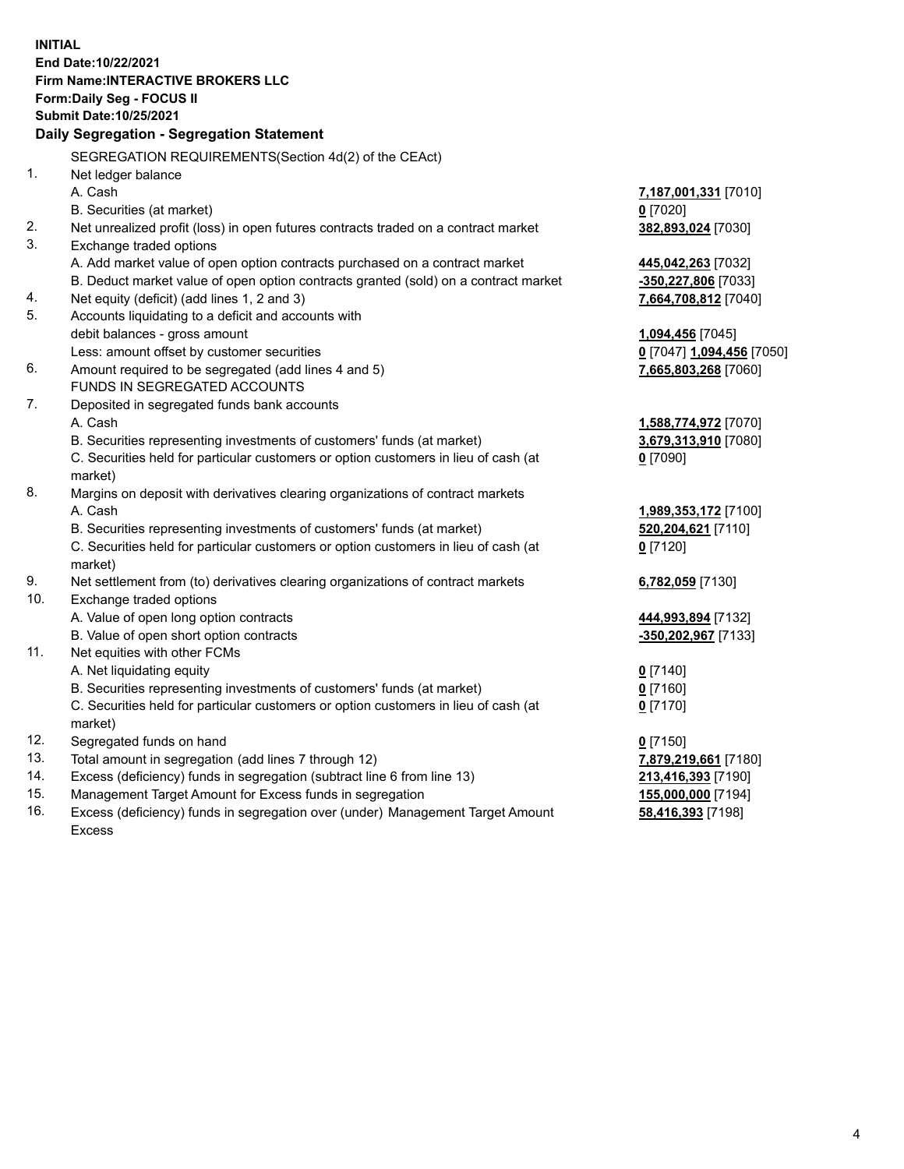**INITIAL End Date:10/22/2021 Firm Name:INTERACTIVE BROKERS LLC Form:Daily Seg - FOCUS II Submit Date:10/25/2021 Daily Segregation - Segregation Statement** SEGREGATION REQUIREMENTS(Section 4d(2) of the CEAct) 1. Net ledger balance A. Cash **7,187,001,331** [7010] B. Securities (at market) **0** [7020] 2. Net unrealized profit (loss) in open futures contracts traded on a contract market **382,893,024** [7030] 3. Exchange traded options A. Add market value of open option contracts purchased on a contract market **445,042,263** [7032] B. Deduct market value of open option contracts granted (sold) on a contract market **-350,227,806** [7033] 4. Net equity (deficit) (add lines 1, 2 and 3) **7,664,708,812** [7040] 5. Accounts liquidating to a deficit and accounts with debit balances - gross amount **1,094,456** [7045] Less: amount offset by customer securities **0** [7047] **1,094,456** [7050] 6. Amount required to be segregated (add lines 4 and 5) **7,665,803,268** [7060] FUNDS IN SEGREGATED ACCOUNTS 7. Deposited in segregated funds bank accounts A. Cash **1,588,774,972** [7070] B. Securities representing investments of customers' funds (at market) **3,679,313,910** [7080] C. Securities held for particular customers or option customers in lieu of cash (at market) **0** [7090] 8. Margins on deposit with derivatives clearing organizations of contract markets A. Cash **1,989,353,172** [7100] B. Securities representing investments of customers' funds (at market) **520,204,621** [7110] C. Securities held for particular customers or option customers in lieu of cash (at market) **0** [7120] 9. Net settlement from (to) derivatives clearing organizations of contract markets **6,782,059** [7130] 10. Exchange traded options A. Value of open long option contracts **444,993,894** [7132] B. Value of open short option contracts **-350,202,967** [7133] 11. Net equities with other FCMs A. Net liquidating equity **0** [7140] B. Securities representing investments of customers' funds (at market) **0** [7160] C. Securities held for particular customers or option customers in lieu of cash (at market) **0** [7170] 12. Segregated funds on hand **0** [7150] 13. Total amount in segregation (add lines 7 through 12) **7,879,219,661** [7180] 14. Excess (deficiency) funds in segregation (subtract line 6 from line 13) **213,416,393** [7190] 15. Management Target Amount for Excess funds in segregation **155,000,000** [7194]

16. Excess (deficiency) funds in segregation over (under) Management Target Amount Excess

**58,416,393** [7198]